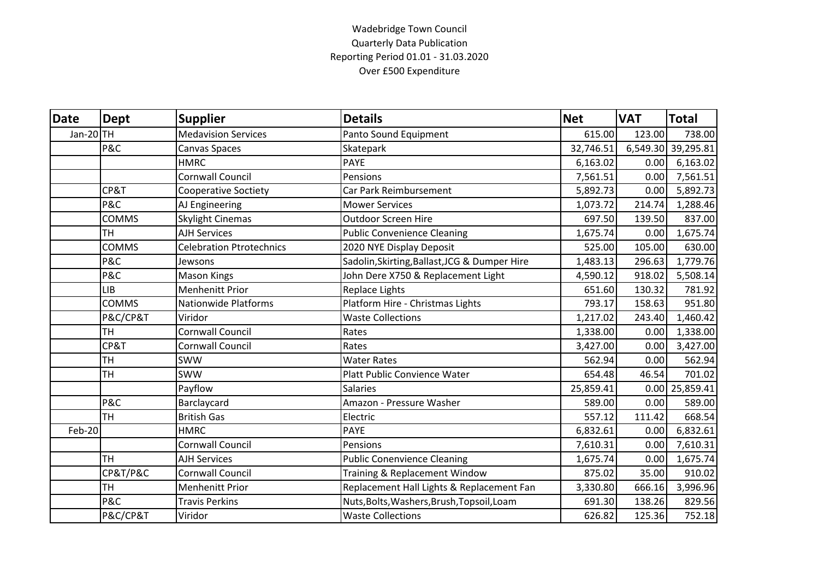## Wadebridge Town Council Quarterly Data Publication Reporting Period 01.01 - 31.03.2020 Over £500 Expenditure

| Date          | <b>Dept</b>  | <b>Supplier</b>                 | <b>Details</b>                                | <b>Net</b> | <b>VAT</b> | <b>Total</b>       |
|---------------|--------------|---------------------------------|-----------------------------------------------|------------|------------|--------------------|
| Jan-20 TH     |              | <b>Medavision Services</b>      | Panto Sound Equipment                         | 615.00     | 123.00     | 738.00             |
|               | P&C          | Canvas Spaces                   | Skatepark                                     | 32,746.51  |            | 6,549.30 39,295.81 |
|               |              | <b>HMRC</b>                     | <b>PAYE</b>                                   | 6,163.02   | 0.00       | 6,163.02           |
|               |              | <b>Cornwall Council</b>         | Pensions                                      | 7,561.51   | 0.00       | 7,561.51           |
|               | CP&T         | <b>Cooperative Soctiety</b>     | Car Park Reimbursement                        | 5,892.73   | 0.00       | 5,892.73           |
|               | P&C          | AJ Engineering                  | <b>Mower Services</b>                         | 1,073.72   | 214.74     | 1,288.46           |
|               | <b>COMMS</b> | <b>Skylight Cinemas</b>         | <b>Outdoor Screen Hire</b>                    | 697.50     | 139.50     | 837.00             |
|               | <b>TH</b>    | <b>AJH Services</b>             | <b>Public Convenience Cleaning</b>            | 1,675.74   | 0.00       | 1,675.74           |
|               | <b>COMMS</b> | <b>Celebration Ptrotechnics</b> | 2020 NYE Display Deposit                      | 525.00     | 105.00     | 630.00             |
|               | P&C          | Jewsons                         | Sadolin, Skirting, Ballast, JCG & Dumper Hire | 1,483.13   | 296.63     | 1,779.76           |
|               | P&C          | <b>Mason Kings</b>              | John Dere X750 & Replacement Light            | 4,590.12   | 918.02     | 5,508.14           |
|               | <b>LIB</b>   | Menhenitt Prior                 | Replace Lights                                | 651.60     | 130.32     | 781.92             |
|               | <b>COMMS</b> | <b>Nationwide Platforms</b>     | Platform Hire - Christmas Lights              | 793.17     | 158.63     | 951.80             |
|               | P&C/CP&T     | Viridor                         | <b>Waste Collections</b>                      | 1,217.02   | 243.40     | 1,460.42           |
|               | <b>TH</b>    | <b>Cornwall Council</b>         | Rates                                         | 1,338.00   | 0.00       | 1,338.00           |
|               | CP&T         | <b>Cornwall Council</b>         | Rates                                         | 3,427.00   | 0.00       | 3,427.00           |
|               | <b>TH</b>    | <b>SWW</b>                      | <b>Water Rates</b>                            | 562.94     | 0.00       | 562.94             |
|               | <b>TH</b>    | <b>SWW</b>                      | Platt Public Convience Water                  | 654.48     | 46.54      | 701.02             |
|               |              | Payflow                         | <b>Salaries</b>                               | 25,859.41  |            | $0.00$ 25,859.41   |
|               | P&C          | Barclaycard                     | Amazon - Pressure Washer                      | 589.00     | 0.00       | 589.00             |
|               | <b>TH</b>    | <b>British Gas</b>              | Electric                                      | 557.12     | 111.42     | 668.54             |
| <b>Feb-20</b> |              | <b>HMRC</b>                     | <b>PAYE</b>                                   | 6,832.61   | 0.00       | 6,832.61           |
|               |              | <b>Cornwall Council</b>         | Pensions                                      | 7,610.31   | 0.00       | 7,610.31           |
|               | <b>TH</b>    | <b>AJH Services</b>             | <b>Public Conenvience Cleaning</b>            | 1,675.74   | 0.00       | 1,675.74           |
|               | CP&T/P&C     | <b>Cornwall Council</b>         | Training & Replacement Window                 | 875.02     | 35.00      | 910.02             |
|               | <b>TH</b>    | <b>Menhenitt Prior</b>          | Replacement Hall Lights & Replacement Fan     | 3,330.80   | 666.16     | 3,996.96           |
|               | P&C          | <b>Travis Perkins</b>           | Nuts, Bolts, Washers, Brush, Topsoil, Loam    | 691.30     | 138.26     | 829.56             |
|               | P&C/CP&T     | Viridor                         | <b>Waste Collections</b>                      | 626.82     | 125.36     | 752.18             |